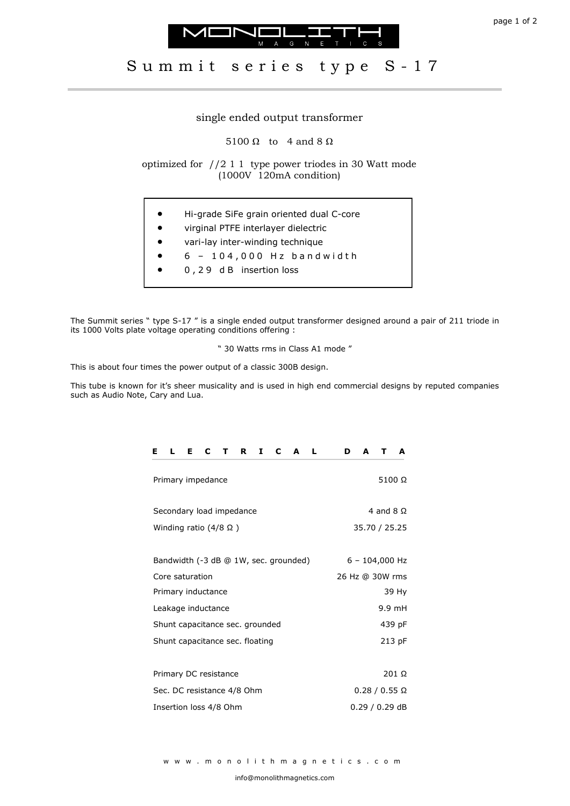



## single ended output transformer

5100  $\Omega$  to 4 and 8  $\Omega$ 

optimized for //2 1 1 type power triodes in 30 Watt mode (1000V 120mA condition)

- Hi-grade SiFe grain oriented dual C-core
- virginal PTFE interlayer dielectric
- vari-lay inter-winding technique
- $6 104,000$  Hz bandwidth
- 0 , 2 9 d B insertion loss

The Summit series " type S-17 " is a single ended output transformer designed around a pair of 211 triode in its 1000 Volts plate voltage operating conditions offering :

" 30 Watts rms in Class A1 mode "

This is about four times the power output of a classic 300B design.

This tube is known for it's sheer musicality and is used in high end commercial designs by reputed companies such as Audio Note, Cary and Lua.

| C<br>L<br>Т.<br>C<br>Е<br>Е<br>$\mathbf T$<br>R<br>$\mathbf{L}$<br>A | D<br>A<br>A<br>т     |
|----------------------------------------------------------------------|----------------------|
| Primary impedance                                                    | 5100 $\Omega$        |
| Secondary load impedance                                             | 4 and 8 $\Omega$     |
| Winding ratio $(4/8 \Omega)$                                         | 35.70 / 25.25        |
|                                                                      |                      |
| Bandwidth (-3 dB @ 1W, sec. grounded)                                | $6 - 104,000$ Hz     |
| Core saturation                                                      | 26 Hz @ 30W rms      |
| Primary inductance                                                   | 39 Hy                |
| Leakage inductance                                                   | 9.9 mH               |
| Shunt capacitance sec. grounded                                      | 439 pF               |
| Shunt capacitance sec. floating                                      | 213 pF               |
|                                                                      |                      |
| Primary DC resistance                                                | 201 Ω                |
| Sec. DC resistance 4/8 Ohm                                           | $0.28 / 0.55 \Omega$ |
| Insertion loss 4/8 Ohm                                               | 0.29 / 0.29 dB       |